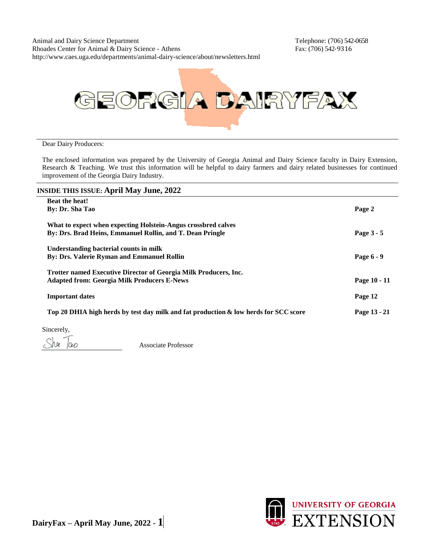Animal and Dairy Science Department Telephone: (706) 542-0658 Rhoades Center for Animal & Dairy Science - Athens Fax: (706) 542-9316 http://www.caes.uga.edu/departments/animal-dairy-science/about/newsletters.html



#### Dear Dairy Producers:

The enclosed information was prepared by the University of Georgia Animal and Dairy Science faculty in Dairy Extension, Research & Teaching. We trust this information will be helpful to dairy farmers and dairy related businesses for continued improvement of the Georgia Dairy Industry.

| <b>INSIDE THIS ISSUE: April May June, 2022</b>                                       |              |
|--------------------------------------------------------------------------------------|--------------|
| <b>Beat the heat!</b>                                                                |              |
| By: Dr. Sha Tao                                                                      | Page 2       |
| What to expect when expecting Holstein-Angus crossbred calves                        |              |
| By: Drs. Brad Heins, Emmanuel Rollin, and T. Dean Pringle                            | Page 3 - 5   |
| Understanding bacterial counts in milk                                               |              |
| <b>By: Drs. Valerie Ryman and Emmanuel Rollin</b>                                    | Page 6 - 9   |
| Trotter named Executive Director of Georgia Milk Producers, Inc.                     |              |
| <b>Adapted from: Georgia Milk Producers E-News</b>                                   | Page 10 - 11 |
| <b>Important dates</b>                                                               | Page 12      |
| Top 20 DHIA high herds by test day milk and fat production & low herds for SCC score | Page 13 - 21 |
|                                                                                      |              |

Sincerely,

hee  $|00\rangle$ 

Associate Professor

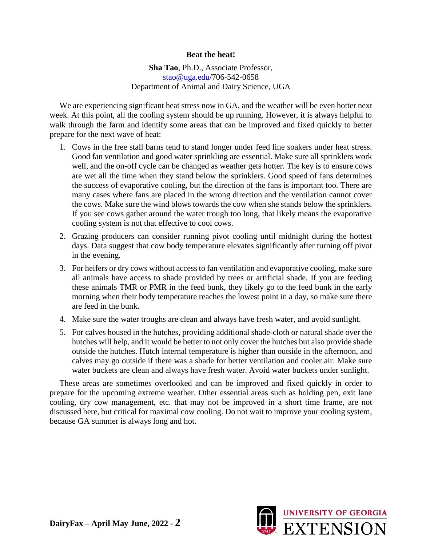#### **Beat the heat!**

**Sha Tao**, Ph.D., Associate Professor, stao@uga.edu/706-542-0658 Department of Animal and Dairy Science, UGA

We are experiencing significant heat stress now in GA, and the weather will be even hotter next week. At this point, all the cooling system should be up running. However, it is always helpful to walk through the farm and identify some areas that can be improved and fixed quickly to better prepare for the next wave of heat:

- 1. Cows in the free stall barns tend to stand longer under feed line soakers under heat stress. Good fan ventilation and good water sprinkling are essential. Make sure all sprinklers work well, and the on-off cycle can be changed as weather gets hotter. The key is to ensure cows are wet all the time when they stand below the sprinklers. Good speed of fans determines the success of evaporative cooling, but the direction of the fans is important too. There are many cases where fans are placed in the wrong direction and the ventilation cannot cover the cows. Make sure the wind blows towards the cow when she stands below the sprinklers. If you see cows gather around the water trough too long, that likely means the evaporative cooling system is not that effective to cool cows.
- 2. Grazing producers can consider running pivot cooling until midnight during the hottest days. Data suggest that cow body temperature elevates significantly after turning off pivot in the evening.
- 3. For heifers or dry cows without access to fan ventilation and evaporative cooling, make sure all animals have access to shade provided by trees or artificial shade. If you are feeding these animals TMR or PMR in the feed bunk, they likely go to the feed bunk in the early morning when their body temperature reaches the lowest point in a day, so make sure there are feed in the bunk.
- 4. Make sure the water troughs are clean and always have fresh water, and avoid sunlight.
- 5. For calves housed in the hutches, providing additional shade-cloth or natural shade over the hutches will help, and it would be better to not only cover the hutches but also provide shade outside the hutches. Hutch internal temperature is higher than outside in the afternoon, and calves may go outside if there was a shade for better ventilation and cooler air. Make sure water buckets are clean and always have fresh water. Avoid water buckets under sunlight.

These areas are sometimes overlooked and can be improved and fixed quickly in order to prepare for the upcoming extreme weather. Other essential areas such as holding pen, exit lane cooling, dry cow management, etc. that may not be improved in a short time frame, are not discussed here, but critical for maximal cow cooling. Do not wait to improve your cooling system, because GA summer is always long and hot.

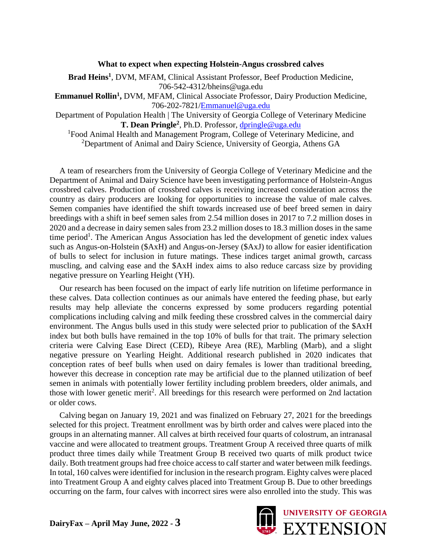#### **What to expect when expecting Holstein-Angus crossbred calves**

**Brad Heins<sup>1</sup>** , DVM, MFAM, Clinical Assistant Professor, Beef Production Medicine, 706-542-4312/bheins@uga.edu

Emmanuel Rollin<sup>1</sup>, DVM, MFAM, Clinical Associate Professor, Dairy Production Medicine, 706-202-7821/Emmanuel@uga.edu

Department of Population Health | The University of Georgia College of Veterinary Medicine **T. Dean Pringle<sup>2</sup>** , Ph.D. Professor, dpringle@uga.edu

<sup>1</sup>Food Animal Health and Management Program, College of Veterinary Medicine, and <sup>2</sup>Department of Animal and Dairy Science, University of Georgia, Athens GA

A team of researchers from the University of Georgia College of Veterinary Medicine and the Department of Animal and Dairy Science have been investigating performance of Holstein-Angus crossbred calves. Production of crossbred calves is receiving increased consideration across the country as dairy producers are looking for opportunities to increase the value of male calves. Semen companies have identified the shift towards increased use of beef breed semen in dairy breedings with a shift in beef semen sales from 2.54 million doses in 2017 to 7.2 million doses in 2020 and a decrease in dairy semen sales from 23.2 million doses to 18.3 million doses in the same time period<sup>1</sup>. The American Angus Association has led the development of genetic index values such as Angus-on-Holstein (\$AxH) and Angus-on-Jersey (\$AxJ) to allow for easier identification of bulls to select for inclusion in future matings. These indices target animal growth, carcass muscling, and calving ease and the \$AxH index aims to also reduce carcass size by providing negative pressure on Yearling Height (YH).

Our research has been focused on the impact of early life nutrition on lifetime performance in these calves. Data collection continues as our animals have entered the feeding phase, but early results may help alleviate the concerns expressed by some producers regarding potential complications including calving and milk feeding these crossbred calves in the commercial dairy environment. The Angus bulls used in this study were selected prior to publication of the \$AxH index but both bulls have remained in the top 10% of bulls for that trait. The primary selection criteria were Calving Ease Direct (CED), Ribeye Area (RE), Marbling (Marb), and a slight negative pressure on Yearling Height. Additional research published in 2020 indicates that conception rates of beef bulls when used on dairy females is lower than traditional breeding, however this decrease in conception rate may be artificial due to the planned utilization of beef semen in animals with potentially lower fertility including problem breeders, older animals, and those with lower genetic merit<sup>2</sup>. All breedings for this research were performed on 2nd lactation or older cows.

Calving began on January 19, 2021 and was finalized on February 27, 2021 for the breedings selected for this project. Treatment enrollment was by birth order and calves were placed into the groups in an alternating manner. All calves at birth received four quarts of colostrum, an intranasal vaccine and were allocated to treatment groups. Treatment Group A received three quarts of milk product three times daily while Treatment Group B received two quarts of milk product twice daily. Both treatment groups had free choice access to calf starter and water between milk feedings. In total, 160 calves were identified for inclusion in the research program. Eighty calves were placed into Treatment Group A and eighty calves placed into Treatment Group B. Due to other breedings occurring on the farm, four calves with incorrect sires were also enrolled into the study. This was

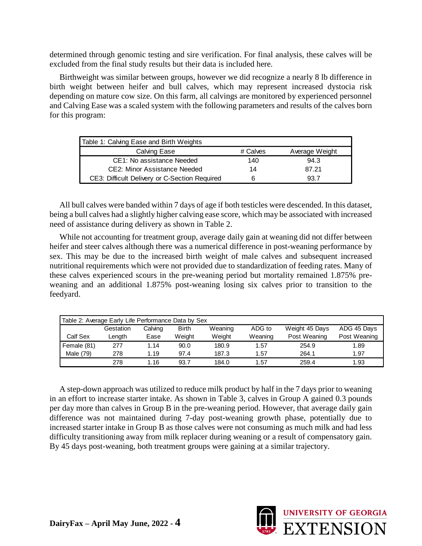determined through genomic testing and sire verification. For final analysis, these calves will be excluded from the final study results but their data is included here.

Birthweight was similar between groups, however we did recognize a nearly 8 lb difference in birth weight between heifer and bull calves, which may represent increased dystocia risk depending on mature cow size. On this farm, all calvings are monitored by experienced personnel and Calving Ease was a scaled system with the following parameters and results of the calves born for this program:

| Table 1: Calving Ease and Birth Weights       |          |                |
|-----------------------------------------------|----------|----------------|
| Calving Ease                                  | # Calves | Average Weight |
| CE1: No assistance Needed                     | 140      | 94.3           |
| CE2: Minor Assistance Needed                  | 14       | 87.21          |
| CE3: Difficult Delivery or C-Section Required | 6        | 93.7           |

All bull calves were banded within 7 days of age if both testicles were descended. In this dataset, being a bull calves had a slightly higher calving ease score, which may be associated with increased need of assistance during delivery as shown in Table 2.

While not accounting for treatment group, average daily gain at weaning did not differ between heifer and steer calves although there was a numerical difference in post-weaning performance by sex. This may be due to the increased birth weight of male calves and subsequent increased nutritional requirements which were not provided due to standardization of feeding rates. Many of these calves experienced scours in the pre-weaning period but mortality remained 1.875% preweaning and an additional 1.875% post-weaning losing six calves prior to transition to the feedyard.

|             | Table 2: Average Early Life Performance Data by Sex |         |              |         |         |                |              |
|-------------|-----------------------------------------------------|---------|--------------|---------|---------|----------------|--------------|
|             | Gestation                                           | Calving | <b>Birth</b> | Weaning | ADG to  | Weight 45 Days | ADG 45 Days  |
| Calf Sex    | Length                                              | Ease    | Weight       | Weight  | Weaning | Post Weaning   | Post Weaning |
| Female (81) | 277                                                 | 1.14    | 90.0         | 180.9   | 1.57    | 254.9          | 1.89         |
| Male (79)   | 278                                                 | 1.19    | 97.4         | 187.3   | 1.57    | 264.1          | 1.97         |
|             | 278                                                 | 1.16    | 93.7         | 184.0   | 1.57    | 259.4          | 1.93         |

A step-down approach was utilized to reduce milk product by half in the 7 days prior to weaning in an effort to increase starter intake. As shown in Table 3, calves in Group A gained 0.3 pounds per day more than calves in Group B in the pre-weaning period. However, that average daily gain difference was not maintained during 7-day post-weaning growth phase, potentially due to increased starter intake in Group B as those calves were not consuming as much milk and had less difficulty transitioning away from milk replacer during weaning or a result of compensatory gain. By 45 days post-weaning, both treatment groups were gaining at a similar trajectory.

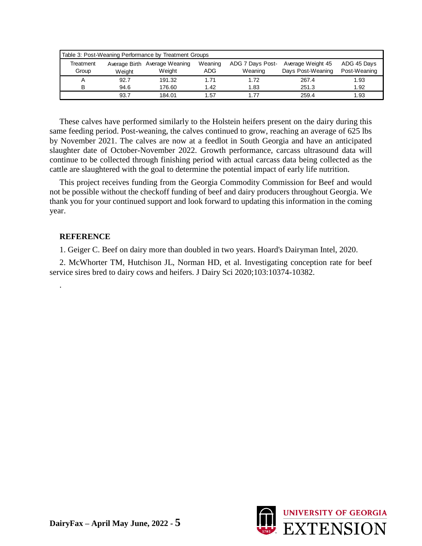| Table 3: Post-Weaning Performance by Treatment Groups |        |                               |         |                  |                   |              |  |  |  |  |
|-------------------------------------------------------|--------|-------------------------------|---------|------------------|-------------------|--------------|--|--|--|--|
| Treatment                                             |        | Average Birth Average Weaning | Weaning | ADG 7 Days Post- | Average Weight 45 | ADG 45 Days  |  |  |  |  |
| Group                                                 | Weight | Weight                        | ADG     | Weaning          | Days Post-Weaning | Post-Weaning |  |  |  |  |
|                                                       | 92.7   | 191.32                        | 1.71    | 1.72             | 267.4             | 1.93         |  |  |  |  |
| R                                                     | 94.6   | 176.60                        | 1.42    | 1.83             | 251.3             | 1.92         |  |  |  |  |
|                                                       | 93.7   | 184.01                        | 1.57    | 1.77             | 259.4             | 1.93         |  |  |  |  |

These calves have performed similarly to the Holstein heifers present on the dairy during this same feeding period. Post-weaning, the calves continued to grow, reaching an average of 625 lbs by November 2021. The calves are now at a feedlot in South Georgia and have an anticipated slaughter date of October-November 2022. Growth performance, carcass ultrasound data will continue to be collected through finishing period with actual carcass data being collected as the cattle are slaughtered with the goal to determine the potential impact of early life nutrition.

This project receives funding from the Georgia Commodity Commission for Beef and would not be possible without the checkoff funding of beef and dairy producers throughout Georgia. We thank you for your continued support and look forward to updating this information in the coming year.

#### **REFERENCE**

.

1. Geiger C. Beef on dairy more than doubled in two years. Hoard's Dairyman Intel, 2020.

2. McWhorter TM, Hutchison JL, Norman HD, et al. Investigating conception rate for beef service sires bred to dairy cows and heifers. J Dairy Sci 2020;103:10374-10382.

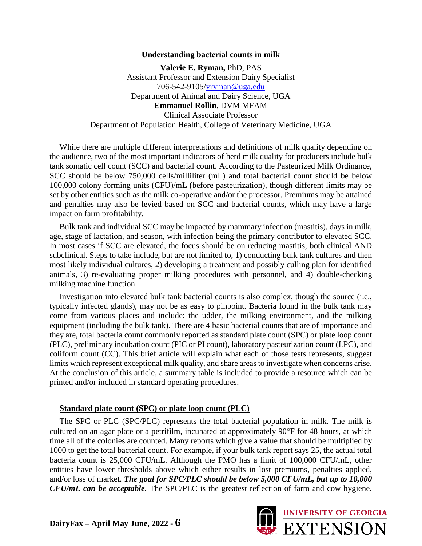#### **Understanding bacterial counts in milk**

**Valerie E. Ryman,** PhD, PAS Assistant Professor and Extension Dairy Specialist 706-542-9105/vryman@uga.edu Department of Animal and Dairy Science, UGA **Emmanuel Rollin**, DVM MFAM Clinical Associate Professor Department of Population Health, College of Veterinary Medicine, UGA

While there are multiple different interpretations and definitions of milk quality depending on the audience, two of the most important indicators of herd milk quality for producers include bulk tank somatic cell count (SCC) and bacterial count. According to the Pasteurized Milk Ordinance, SCC should be below 750,000 cells/milliliter (mL) and total bacterial count should be below 100,000 colony forming units (CFU)/mL (before pasteurization), though different limits may be set by other entities such as the milk co-operative and/or the processor. Premiums may be attained and penalties may also be levied based on SCC and bacterial counts, which may have a large impact on farm profitability.

Bulk tank and individual SCC may be impacted by mammary infection (mastitis), days in milk, age, stage of lactation, and season, with infection being the primary contributor to elevated SCC. In most cases if SCC are elevated, the focus should be on reducing mastitis, both clinical AND subclinical. Steps to take include, but are not limited to, 1) conducting bulk tank cultures and then most likely individual cultures, 2) developing a treatment and possibly culling plan for identified animals, 3) re-evaluating proper milking procedures with personnel, and 4) double-checking milking machine function.

Investigation into elevated bulk tank bacterial counts is also complex, though the source (i.e., typically infected glands), may not be as easy to pinpoint. Bacteria found in the bulk tank may come from various places and include: the udder, the milking environment, and the milking equipment (including the bulk tank). There are 4 basic bacterial counts that are of importance and they are, total bacteria count commonly reported as standard plate count (SPC) or plate loop count (PLC), preliminary incubation count (PIC or PI count), laboratory pasteurization count (LPC), and coliform count (CC). This brief article will explain what each of those tests represents, suggest limits which represent exceptional milk quality, and share areas to investigate when concerns arise. At the conclusion of this article, a summary table is included to provide a resource which can be printed and/or included in standard operating procedures.

#### **Standard plate count (SPC) or plate loop count (PLC)**

The SPC or PLC (SPC/PLC) represents the total bacterial population in milk. The milk is cultured on an agar plate or a petrifilm, incubated at approximately 90°F for 48 hours, at which time all of the colonies are counted. Many reports which give a value that should be multiplied by 1000 to get the total bacterial count. For example, if your bulk tank report says 25, the actual total bacteria count is 25,000 CFU/mL. Although the PMO has a limit of 100,000 CFU/mL, other entities have lower thresholds above which either results in lost premiums, penalties applied, and/or loss of market. *The goal for SPC/PLC should be below 5,000 CFU/mL, but up to 10,000 CFU/mL can be acceptable.* The SPC/PLC is the greatest reflection of farm and cow hygiene.

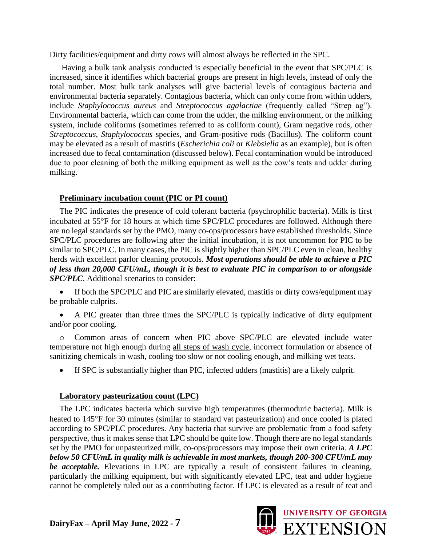Dirty facilities/equipment and dirty cows will almost always be reflected in the SPC.

Having a bulk tank analysis conducted is especially beneficial in the event that SPC/PLC is increased, since it identifies which bacterial groups are present in high levels, instead of only the total number. Most bulk tank analyses will give bacterial levels of contagious bacteria and environmental bacteria separately. Contagious bacteria, which can only come from within udders, include *Staphylococcus aureus* and *Streptococcus agalactiae* (frequently called "Strep ag"). Environmental bacteria, which can come from the udder, the milking environment, or the milking system, include coliforms (sometimes referred to as coliform count), Gram negative rods, other *Streptococcus*, *Staphylococcus* species, and Gram-positive rods (Bacillus). The coliform count may be elevated as a result of mastitis (*Escherichia coli* or *Klebsiella* as an example), but is often increased due to fecal contamination (discussed below). Fecal contamination would be introduced due to poor cleaning of both the milking equipment as well as the cow's teats and udder during milking.

#### **Preliminary incubation count (PIC or PI count)**

The PIC indicates the presence of cold tolerant bacteria (psychrophilic bacteria). Milk is first incubated at 55°F for 18 hours at which time SPC/PLC procedures are followed. Although there are no legal standards set by the PMO, many co-ops/processors have established thresholds. Since SPC/PLC procedures are following after the initial incubation, it is not uncommon for PIC to be similar to SPC/PLC. In many cases, the PIC is slightly higher than SPC/PLC even in clean, healthy herds with excellent parlor cleaning protocols. *Most operations should be able to achieve a PIC of less than 20,000 CFU/mL, though it is best to evaluate PIC in comparison to or alongside SPC/PLC*. Additional scenarios to consider:

If both the SPC/PLC and PIC are similarly elevated, mastitis or dirty cows/equipment may be probable culprits.

• A PIC greater than three times the SPC/PLC is typically indicative of dirty equipment and/or poor cooling.

o Common areas of concern when PIC above SPC/PLC are elevated include water temperature not high enough during all steps of wash cycle, incorrect formulation or absence of sanitizing chemicals in wash, cooling too slow or not cooling enough, and milking wet teats.

• If SPC is substantially higher than PIC, infected udders (mastitis) are a likely culprit.

#### **Laboratory pasteurization count (LPC)**

The LPC indicates bacteria which survive high temperatures (thermoduric bacteria). Milk is heated to 145°F for 30 minutes (similar to standard vat pasteurization) and once cooled is plated according to SPC/PLC procedures. Any bacteria that survive are problematic from a food safety perspective, thus it makes sense that LPC should be quite low. Though there are no legal standards set by the PMO for unpasteurized milk, co-ops/processors may impose their own criteria. *A LPC below 50 CFU/mL in quality milk is achievable in most markets, though 200-300 CFU/mL may be acceptable.* Elevations in LPC are typically a result of consistent failures in cleaning, particularly the milking equipment, but with significantly elevated LPC, teat and udder hygiene cannot be completely ruled out as a contributing factor. If LPC is elevated as a result of teat and

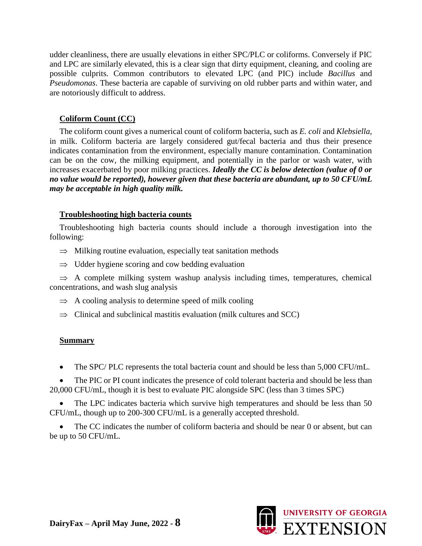udder cleanliness, there are usually elevations in either SPC/PLC or coliforms. Conversely if PIC and LPC are similarly elevated, this is a clear sign that dirty equipment, cleaning, and cooling are possible culprits. Common contributors to elevated LPC (and PIC) include *Bacillus* and *Pseudomonas*. These bacteria are capable of surviving on old rubber parts and within water, and are notoriously difficult to address.

#### **Coliform Count (CC)**

The coliform count gives a numerical count of coliform bacteria, such as *E. coli* and *Klebsiella*, in milk. Coliform bacteria are largely considered gut/fecal bacteria and thus their presence indicates contamination from the environment, especially manure contamination. Contamination can be on the cow, the milking equipment, and potentially in the parlor or wash water, with increases exacerbated by poor milking practices. *Ideally the CC is below detection (value of 0 or no value would be reported), however given that these bacteria are abundant, up to 50 CFU/mL may be acceptable in high quality milk.*

#### **Troubleshooting high bacteria counts**

Troubleshooting high bacteria counts should include a thorough investigation into the following:

- $\implies$  Milking routine evaluation, especially teat sanitation methods
- $\Rightarrow$  Udder hygiene scoring and cow bedding evaluation

 $\Rightarrow$  A complete milking system washup analysis including times, temperatures, chemical concentrations, and wash slug analysis

- $\Rightarrow$  A cooling analysis to determine speed of milk cooling
- $\Rightarrow$  Clinical and subclinical mastitis evaluation (milk cultures and SCC)

### **Summary**

• The SPC/ PLC represents the total bacteria count and should be less than 5,000 CFU/mL.

The PIC or PI count indicates the presence of cold tolerant bacteria and should be less than 20,000 CFU/mL, though it is best to evaluate PIC alongside SPC (less than 3 times SPC)

The LPC indicates bacteria which survive high temperatures and should be less than 50 CFU/mL, though up to 200-300 CFU/mL is a generally accepted threshold.

The CC indicates the number of coliform bacteria and should be near 0 or absent, but can be up to 50 CFU/mL.

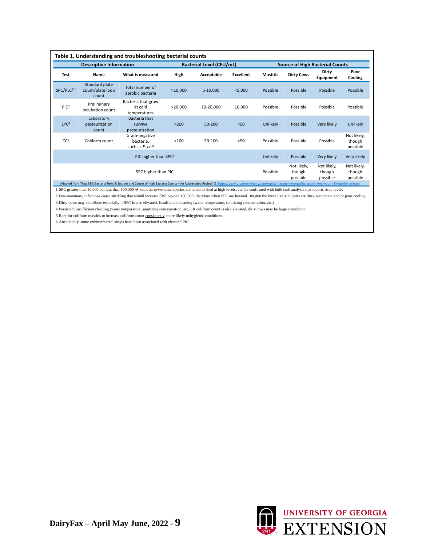|                                                                                                                                                |                                             | Table 1. Understanding and troubleshooting bacterial counts                                                                                                                                                                                                                                                                                                                                                    |         |                                 |                  |                                        |                   |                    |                                   |  |
|------------------------------------------------------------------------------------------------------------------------------------------------|---------------------------------------------|----------------------------------------------------------------------------------------------------------------------------------------------------------------------------------------------------------------------------------------------------------------------------------------------------------------------------------------------------------------------------------------------------------------|---------|---------------------------------|------------------|----------------------------------------|-------------------|--------------------|-----------------------------------|--|
|                                                                                                                                                | <b>Descriptive Information</b>              |                                                                                                                                                                                                                                                                                                                                                                                                                |         | <b>Bacterial Level (CFU/mL)</b> |                  | <b>Source of High Bacterial Counts</b> |                   |                    |                                   |  |
| Test                                                                                                                                           | Name                                        | What is measured                                                                                                                                                                                                                                                                                                                                                                                               | High    | Acceptable                      | <b>Excellent</b> | <b>Mastitis</b>                        | <b>Dirty Cows</b> | Dirty<br>Equipment | Poor<br>Cooling                   |  |
| SPC/PLC <sup>1,2</sup>                                                                                                                         | Standard plate<br>count/plate loop<br>count | Total number of<br>aerobic bacteria                                                                                                                                                                                                                                                                                                                                                                            | >10,000 | 5-10,000                        | $<$ 5,000        | Possible                               | Possible          | Possible           | Possible                          |  |
| PIC <sup>3</sup>                                                                                                                               | Preliminary<br>incubation count             | Bacteria that grow<br>at cold<br>temperatures                                                                                                                                                                                                                                                                                                                                                                  | >20,000 | 10-20,000                       | 10,000           | Possible                               | Possible          | Possible           | Possible                          |  |
| LPC <sup>4</sup>                                                                                                                               | Laboratory<br>pasteurization<br>count       | <b>Bacteria that</b><br>survive<br>pasteurization                                                                                                                                                                                                                                                                                                                                                              | $>200$  | 50-200                          | $50$             | Unlikely                               | Possible          | Very likely        | Unlikely                          |  |
| CC <sup>5</sup>                                                                                                                                | Coliform count                              | Gram-negative<br>bacteria.<br>such as E. coli                                                                                                                                                                                                                                                                                                                                                                  | < 100   | 50-100                          | < 50             | Possible                               | Possible          | Possible           | Not likely,<br>though<br>possible |  |
|                                                                                                                                                |                                             | PIC higher than SPC <sup>6</sup>                                                                                                                                                                                                                                                                                                                                                                               |         |                                 |                  | Unlikely                               | Possible          | Very likely        | Very likely                       |  |
| Not likely,<br>Not likely,<br>Not likely,<br>SPC higher than PIC<br>Possible<br>though<br>though<br>though<br>possible<br>possible<br>possible |                                             |                                                                                                                                                                                                                                                                                                                                                                                                                |         |                                 |                  |                                        |                   |                    |                                   |  |
|                                                                                                                                                |                                             | Adapted from "Raw Milk Bacteria Tests & Sources and Causes of High Bacteria Counts - An Abbreviated Review" & https://www.progressivedairy.com/topics/management/quality-counts-keep-your-milk-quality-on-track<br>SDC greater than 10,000 but less than 100,000 $\rightarrow$ some Strentococcus species are noted to shed at high levels, can be confirmed with bulk tank analysis that reports stren levels |         |                                 |                  |                                        |                   |                    |                                   |  |

 $\cdot$  *Streptococcus* species are noted to shed at high levels, can be confirmed with bulk tank analysis that reports strep levels

2.Few mammary infections cause shedding that would increase SPC beyond 100,000, therefore when SPC are beyond 100,000 the more likely culprits are dirty equipment and/or poor cooling 3.Dirty cows may contribute especially if SPC is also elevated; Insufficient cleaning (water temperature, sanitizing concentration, etc.)

4.Persistent insufficient cleaning (water temperature, sanitizing concentration, etc.); If coliform count is also elevated, dirty cows may be large contributor

5.Rare for coliform mastitis to increase coliform count consistently, more likely unhygienic conditions

6.Anecdotally, some environmental streps have been associated with elevated PIC

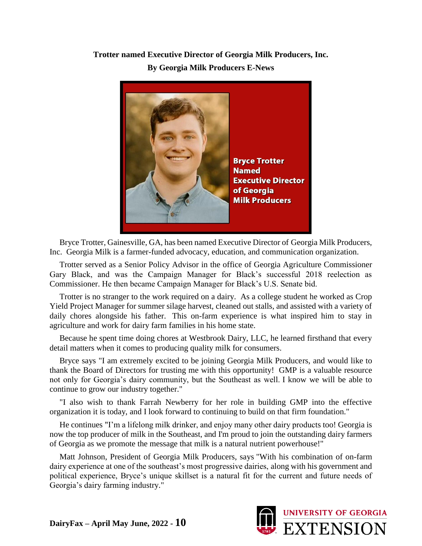## **Trotter named Executive Director of Georgia Milk Producers, Inc. By Georgia Milk Producers E-News**



Bryce Trotter, Gainesville, GA, has been named Executive Director of Georgia Milk Producers, Inc. Georgia Milk is a farmer-funded advocacy, education, and communication organization.

Trotter served as a Senior Policy Advisor in the office of Georgia Agriculture Commissioner Gary Black, and was the Campaign Manager for Black's successful 2018 reelection as Commissioner. He then became Campaign Manager for Black's U.S. Senate bid.

Trotter is no stranger to the work required on a dairy. As a college student he worked as Crop Yield Project Manager for summer silage harvest, cleaned out stalls, and assisted with a variety of daily chores alongside his father. This on-farm experience is what inspired him to stay in agriculture and work for dairy farm families in his home state.

Because he spent time doing chores at Westbrook Dairy, LLC, he learned firsthand that every detail matters when it comes to producing quality milk for consumers.

Bryce says "I am extremely excited to be joining Georgia Milk Producers, and would like to thank the Board of Directors for trusting me with this opportunity! GMP is a valuable resource not only for Georgia's dairy community, but the Southeast as well. I know we will be able to continue to grow our industry together."

"I also wish to thank Farrah Newberry for her role in building GMP into the effective organization it is today, and I look forward to continuing to build on that firm foundation."

He continues "I'm a lifelong milk drinker, and enjoy many other dairy products too! Georgia is now the top producer of milk in the Southeast, and I'm proud to join the outstanding dairy farmers of Georgia as we promote the message that milk is a natural nutrient powerhouse!"

Matt Johnson, President of Georgia Milk Producers, says "With his combination of on-farm dairy experience at one of the southeast's most progressive dairies, along with his government and political experience, Bryce's unique skillset is a natural fit for the current and future needs of Georgia's dairy farming industry."

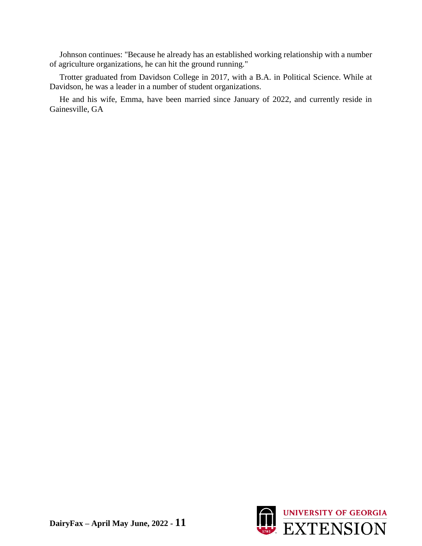Johnson continues: "Because he already has an established working relationship with a number of agriculture organizations, he can hit the ground running."

Trotter graduated from Davidson College in 2017, with a B.A. in Political Science. While at Davidson, he was a leader in a number of student organizations.

He and his wife, Emma, have been married since January of 2022, and currently reside in Gainesville, GA

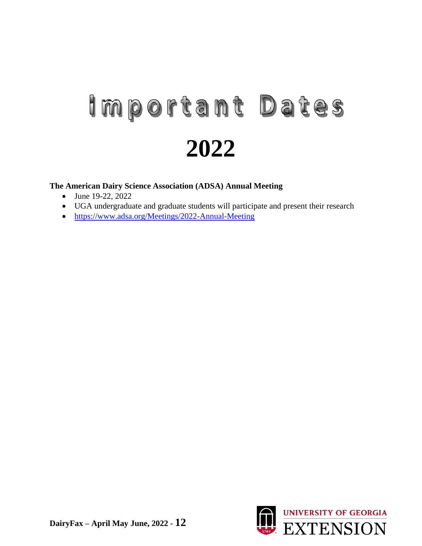# Important Dates **2022**

#### **The American Dairy Science Association (ADSA) Annual Meeting**

- June 19-22, 2022
- UGA undergraduate and graduate students will participate and present their research
- https://www.adsa.org/Meetings/2022-Annual-Meeting

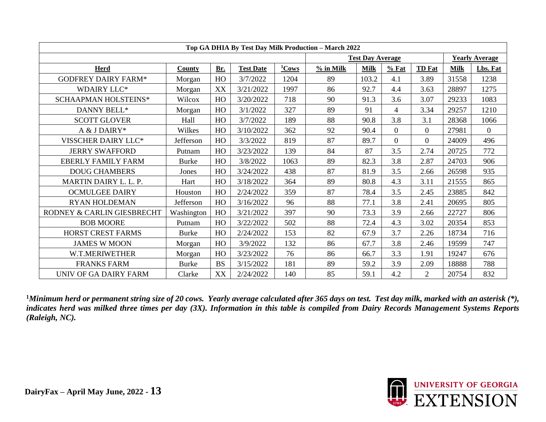|                            |              |           |                  |                   | Top GA DHIA By Test Day Milk Production - March 2022 |                         |          |                |             |                       |
|----------------------------|--------------|-----------|------------------|-------------------|------------------------------------------------------|-------------------------|----------|----------------|-------------|-----------------------|
|                            |              |           |                  |                   |                                                      | <b>Test Day Average</b> |          |                |             | <b>Yearly Average</b> |
| <b>Herd</b>                | County       | Br.       | <b>Test Date</b> | <sup>1</sup> Cows | % in Milk                                            | <b>Milk</b>             | $%$ Fat  | <b>TD</b> Fat  | <b>Milk</b> | Lbs. Fat              |
| <b>GODFREY DAIRY FARM*</b> | Morgan       | HO        | 3/7/2022         | 1204              | 89                                                   | 103.2                   | 4.1      | 3.89           | 31558       | 1238                  |
| <b>WDAIRY LLC*</b>         | Morgan       | XX        | 3/21/2022        | 1997              | 86                                                   | 92.7                    | 4.4      | 3.63           | 28897       | 1275                  |
| SCHAAPMAN HOLSTEINS*       | Wilcox       | HO        | 3/20/2022        | 718               | 90                                                   | 91.3                    | 3.6      | 3.07           | 29233       | 1083                  |
| DANNY BELL*                | Morgan       | HO        | 3/1/2022         | 327               | 89                                                   | 91                      | 4        | 3.34           | 29257       | 1210                  |
| <b>SCOTT GLOVER</b>        | Hall         | HO        | 3/7/2022         | 189               | 88                                                   | 90.8                    | 3.8      | 3.1            | 28368       | 1066                  |
| A & J DAIRY*               | Wilkes       | HO        | 3/10/2022        | 362               | 92                                                   | 90.4                    | $\Omega$ | $\overline{0}$ | 27981       | $\overline{0}$        |
| VISSCHER DAIRY LLC*        | Jefferson    | HO        | 3/3/2022         | 819               | 87                                                   | 89.7                    | $\Omega$ | $\overline{0}$ | 24009       | 496                   |
| <b>JERRY SWAFFORD</b>      | Putnam       | HO        | 3/23/2022        | 139               | 84                                                   | 87                      | 3.5      | 2.74           | 20725       | 772                   |
| <b>EBERLY FAMILY FARM</b>  | <b>Burke</b> | HO        | 3/8/2022         | 1063              | 89                                                   | 82.3                    | 3.8      | 2.87           | 24703       | 906                   |
| <b>DOUG CHAMBERS</b>       | Jones        | HO        | 3/24/2022        | 438               | 87                                                   | 81.9                    | 3.5      | 2.66           | 26598       | 935                   |
| MARTIN DAIRY L. L. P.      | Hart         | HO        | 3/18/2022        | 364               | 89                                                   | 80.8                    | 4.3      | 3.11           | 21555       | 865                   |
| <b>OCMULGEE DAIRY</b>      | Houston      | HO        | 2/24/2022        | 359               | 87                                                   | 78.4                    | 3.5      | 2.45           | 23885       | 842                   |
| <b>RYAN HOLDEMAN</b>       | Jefferson    | HO        | 3/16/2022        | 96                | 88                                                   | 77.1                    | 3.8      | 2.41           | 20695       | 805                   |
| RODNEY & CARLIN GIESBRECHT | Washington   | HO        | 3/21/2022        | 397               | 90                                                   | 73.3                    | 3.9      | 2.66           | 22727       | 806                   |
| <b>BOB MOORE</b>           | Putnam       | HO        | 3/22/2022        | 502               | 88                                                   | 72.4                    | 4.3      | 3.02           | 20354       | 853                   |
| HORST CREST FARMS          | <b>Burke</b> | HO        | 2/24/2022        | 153               | 82                                                   | 67.9                    | 3.7      | 2.26           | 18734       | 716                   |
| <b>JAMES W MOON</b>        | Morgan       | HO        | 3/9/2022         | 132               | 86                                                   | 67.7                    | 3.8      | 2.46           | 19599       | 747                   |
| W.T.MERIWETHER             | Morgan       | HO        | 3/23/2022        | 76                | 86                                                   | 66.7                    | 3.3      | 1.91           | 19247       | 676                   |
| <b>FRANKS FARM</b>         | <b>Burke</b> | <b>BS</b> | 3/15/2022        | 181               | 89                                                   | 59.2                    | 3.9      | 2.09           | 18888       | 788                   |
| UNIV OF GA DAIRY FARM      | Clarke       | XX        | 2/24/2022        | 140               | 85                                                   | 59.1                    | 4.2      | $\overline{2}$ | 20754       | 832                   |

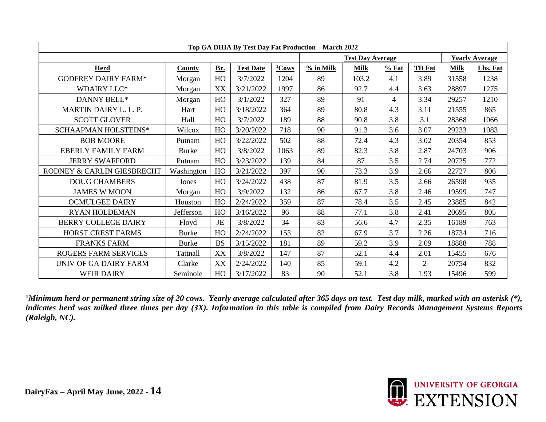|                             |              |           |                  |          | Top GA DHIA By Test Day Fat Production - March 2022 |                         |                |                |             |                       |
|-----------------------------|--------------|-----------|------------------|----------|-----------------------------------------------------|-------------------------|----------------|----------------|-------------|-----------------------|
|                             |              |           |                  |          |                                                     | <b>Test Day Average</b> |                |                |             | <b>Yearly Average</b> |
| Herd                        | County       | Br.       | <b>Test Date</b> | $1$ Cows | $%$ in Milk                                         | <b>Milk</b>             | $%$ Fat        | <b>TD</b> Fat  | <b>Milk</b> | Lbs. Fat              |
| <b>GODFREY DAIRY FARM*</b>  | Morgan       | HO        | 3/7/2022         | 1204     | 89                                                  | 103.2                   | 4.1            | 3.89           | 31558       | 1238                  |
| <b>WDAIRY LLC*</b>          | Morgan       | XX        | 3/21/2022        | 1997     | 86                                                  | 92.7                    | 4.4            | 3.63           | 28897       | 1275                  |
| DANNY BELL*                 | Morgan       | HO        | 3/1/2022         | 327      | 89                                                  | 91                      | $\overline{4}$ | 3.34           | 29257       | 1210                  |
| MARTIN DAIRY L. L. P.       | Hart         | HO        | 3/18/2022        | 364      | 89                                                  | 80.8                    | 4.3            | 3.11           | 21555       | 865                   |
| <b>SCOTT GLOVER</b>         | Hall         | HO        | 3/7/2022         | 189      | 88                                                  | 90.8                    | 3.8            | 3.1            | 28368       | 1066                  |
| SCHAAPMAN HOLSTEINS*        | Wilcox       | HO        | 3/20/2022        | 718      | 90                                                  | 91.3                    | 3.6            | 3.07           | 29233       | 1083                  |
| <b>BOB MOORE</b>            | Putnam       | HO        | 3/22/2022        | 502      | 88                                                  | 72.4                    | 4.3            | 3.02           | 20354       | 853                   |
| <b>EBERLY FAMILY FARM</b>   | <b>Burke</b> | HO        | 3/8/2022         | 1063     | 89                                                  | 82.3                    | 3.8            | 2.87           | 24703       | 906                   |
| <b>JERRY SWAFFORD</b>       | Putnam       | HO        | 3/23/2022        | 139      | 84                                                  | 87                      | 3.5            | 2.74           | 20725       | 772                   |
| RODNEY & CARLIN GIESBRECHT  | Washington   | HO        | 3/21/2022        | 397      | 90                                                  | 73.3                    | 3.9            | 2.66           | 22727       | 806                   |
| <b>DOUG CHAMBERS</b>        | Jones        | HO        | 3/24/2022        | 438      | 87                                                  | 81.9                    | 3.5            | 2.66           | 26598       | 935                   |
| <b>JAMES W MOON</b>         | Morgan       | HO        | 3/9/2022         | 132      | 86                                                  | 67.7                    | 3.8            | 2.46           | 19599       | 747                   |
| <b>OCMULGEE DAIRY</b>       | Houston      | HO        | 2/24/2022        | 359      | 87                                                  | 78.4                    | 3.5            | 2.45           | 23885       | 842                   |
| <b>RYAN HOLDEMAN</b>        | Jefferson    | HO        | 3/16/2022        | 96       | 88                                                  | 77.1                    | 3.8            | 2.41           | 20695       | 805                   |
| <b>BERRY COLLEGE DAIRY</b>  | Floyd        | <b>JE</b> | 3/8/2022         | 34       | 83                                                  | 56.6                    | 4.7            | 2.35           | 16189       | 763                   |
| <b>HORST CREST FARMS</b>    | <b>Burke</b> | HO        | 2/24/2022        | 153      | 82                                                  | 67.9                    | 3.7            | 2.26           | 18734       | 716                   |
| <b>FRANKS FARM</b>          | <b>Burke</b> | <b>BS</b> | 3/15/2022        | 181      | 89                                                  | 59.2                    | 3.9            | 2.09           | 18888       | 788                   |
| <b>ROGERS FARM SERVICES</b> | Tattnall     | XX        | 3/8/2022         | 147      | 87                                                  | 52.1                    | 4.4            | 2.01           | 15455       | 676                   |
| UNIV OF GA DAIRY FARM       | Clarke       | XX        | 2/24/2022        | 140      | 85                                                  | 59.1                    | 4.2            | $\overline{2}$ | 20754       | 832                   |
| <b>WEIR DAIRY</b>           | Seminole     | HO        | 3/17/2022        | 83       | 90                                                  | 52.1                    | 3.8            | 1.93           | 15496       | 599                   |

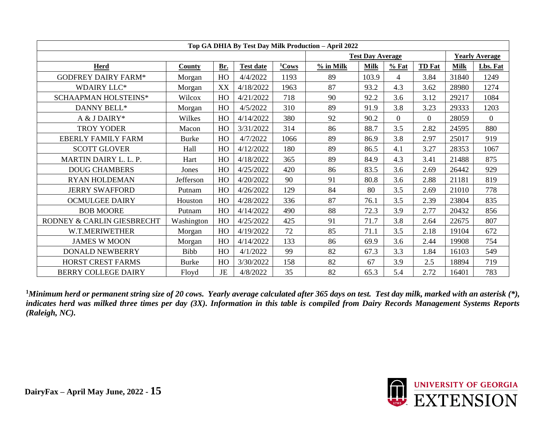|                            | Top GA DHIA By Test Day Milk Production - April 2022 |     |                  |          |             |                         |                |                |             |                       |  |  |  |
|----------------------------|------------------------------------------------------|-----|------------------|----------|-------------|-------------------------|----------------|----------------|-------------|-----------------------|--|--|--|
|                            |                                                      |     |                  |          |             | <b>Test Day Average</b> |                |                |             | <b>Yearly Average</b> |  |  |  |
| <b>Herd</b>                | <b>County</b>                                        | Br. | <b>Test date</b> | $1$ Cows | $%$ in Milk | <b>Milk</b>             | $%$ Fat        | <b>TD</b> Fat  | <b>Milk</b> | Lbs. Fat              |  |  |  |
| <b>GODFREY DAIRY FARM*</b> | Morgan                                               | HO  | 4/4/2022         | 1193     | 89          | 103.9                   | 4              | 3.84           | 31840       | 1249                  |  |  |  |
| <b>WDAIRY LLC*</b>         | Morgan                                               | XX  | 4/18/2022        | 1963     | 87          | 93.2                    | 4.3            | 3.62           | 28980       | 1274                  |  |  |  |
| SCHAAPMAN HOLSTEINS*       | Wilcox                                               | HO  | 4/21/2022        | 718      | 90          | 92.2                    | 3.6            | 3.12           | 29217       | 1084                  |  |  |  |
| DANNY BELL*                | Morgan                                               | HO  | 4/5/2022         | 310      | 89          | 91.9                    | 3.8            | 3.23           | 29333       | 1203                  |  |  |  |
| A & J DAIRY*               | Wilkes                                               | HO  | 4/14/2022        | 380      | 92          | 90.2                    | $\overline{0}$ | $\overline{0}$ | 28059       | $\overline{0}$        |  |  |  |
| <b>TROY YODER</b>          | Macon                                                | HO  | 3/31/2022        | 314      | 86          | 88.7                    | 3.5            | 2.82           | 24595       | 880                   |  |  |  |
| <b>EBERLY FAMILY FARM</b>  | <b>Burke</b>                                         | HO  | 4/7/2022         | 1066     | 89          | 86.9                    | 3.8            | 2.97           | 25017       | 919                   |  |  |  |
| <b>SCOTT GLOVER</b>        | Hall                                                 | HO  | 4/12/2022        | 180      | 89          | 86.5                    | 4.1            | 3.27           | 28353       | 1067                  |  |  |  |
| MARTIN DAIRY L. L. P.      | Hart                                                 | HO  | 4/18/2022        | 365      | 89          | 84.9                    | 4.3            | 3.41           | 21488       | 875                   |  |  |  |
| <b>DOUG CHAMBERS</b>       | Jones                                                | HO  | 4/25/2022        | 420      | 86          | 83.5                    | 3.6            | 2.69           | 26442       | 929                   |  |  |  |
| <b>RYAN HOLDEMAN</b>       | Jefferson                                            | HO  | 4/20/2022        | 90       | 91          | 80.8                    | 3.6            | 2.88           | 21181       | 819                   |  |  |  |
| <b>JERRY SWAFFORD</b>      | Putnam                                               | HO  | 4/26/2022        | 129      | 84          | 80                      | 3.5            | 2.69           | 21010       | 778                   |  |  |  |
| <b>OCMULGEE DAIRY</b>      | Houston                                              | HO  | 4/28/2022        | 336      | 87          | 76.1                    | 3.5            | 2.39           | 23804       | 835                   |  |  |  |
| <b>BOB MOORE</b>           | Putnam                                               | HO  | 4/14/2022        | 490      | 88          | 72.3                    | 3.9            | 2.77           | 20432       | 856                   |  |  |  |
| RODNEY & CARLIN GIESBRECHT | Washington                                           | HO  | 4/25/2022        | 425      | 91          | 71.7                    | 3.8            | 2.64           | 22675       | 807                   |  |  |  |
| W.T.MERIWETHER             | Morgan                                               | HO  | 4/19/2022        | 72       | 85          | 71.1                    | 3.5            | 2.18           | 19104       | 672                   |  |  |  |
| <b>JAMES W MOON</b>        | Morgan                                               | HO  | 4/14/2022        | 133      | 86          | 69.9                    | 3.6            | 2.44           | 19908       | 754                   |  |  |  |
| DONALD NEWBERRY            | <b>Bibb</b>                                          | HO  | 4/1/2022         | 99       | 82          | 67.3                    | 3.3            | 1.84           | 16103       | 549                   |  |  |  |
| HORST CREST FARMS          | <b>Burke</b>                                         | HO  | 3/30/2022        | 158      | 82          | 67                      | 3.9            | 2.5            | 18894       | 719                   |  |  |  |
| <b>BERRY COLLEGE DAIRY</b> | Floyd                                                | JE  | 4/8/2022         | 35       | 82          | 65.3                    | 5.4            | 2.72           | 16401       | 783                   |  |  |  |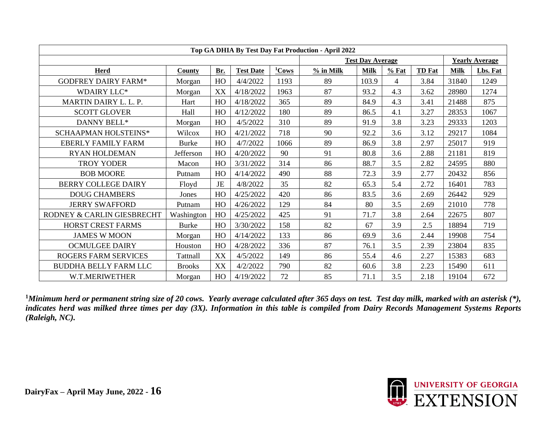|                              |               |     |                  |          | Top GA DHIA By Test Day Fat Production - April 2022 |                         |         |               |             |                       |
|------------------------------|---------------|-----|------------------|----------|-----------------------------------------------------|-------------------------|---------|---------------|-------------|-----------------------|
|                              |               |     |                  |          |                                                     | <b>Test Day Average</b> |         |               |             | <b>Yearly Average</b> |
| <b>Herd</b>                  | County        | Br. | <b>Test Date</b> | $1$ Cows | % in Milk                                           | <b>Milk</b>             | $%$ Fat | <b>TD</b> Fat | <b>Milk</b> | Lbs. Fat              |
| <b>GODFREY DAIRY FARM*</b>   | Morgan        | HO  | 4/4/2022         | 1193     | 89                                                  | 103.9                   | 4       | 3.84          | 31840       | 1249                  |
| <b>WDAIRY LLC*</b>           | Morgan        | XX  | 4/18/2022        | 1963     | 87                                                  | 93.2                    | 4.3     | 3.62          | 28980       | 1274                  |
| MARTIN DAIRY L. L. P.        | Hart          | HO  | 4/18/2022        | 365      | 89                                                  | 84.9                    | 4.3     | 3.41          | 21488       | 875                   |
| <b>SCOTT GLOVER</b>          | Hall          | HO  | 4/12/2022        | 180      | 89                                                  | 86.5                    | 4.1     | 3.27          | 28353       | 1067                  |
| DANNY BELL*                  | Morgan        | HO  | 4/5/2022         | 310      | 89                                                  | 91.9                    | 3.8     | 3.23          | 29333       | 1203                  |
| SCHAAPMAN HOLSTEINS*         | Wilcox        | HO  | 4/21/2022        | 718      | 90                                                  | 92.2                    | 3.6     | 3.12          | 29217       | 1084                  |
| <b>EBERLY FAMILY FARM</b>    | <b>Burke</b>  | HO  | 4/7/2022         | 1066     | 89                                                  | 86.9                    | 3.8     | 2.97          | 25017       | 919                   |
| <b>RYAN HOLDEMAN</b>         | Jefferson     | HO  | 4/20/2022        | 90       | 91                                                  | 80.8                    | 3.6     | 2.88          | 21181       | 819                   |
| <b>TROY YODER</b>            | Macon         | HO  | 3/31/2022        | 314      | 86                                                  | 88.7                    | 3.5     | 2.82          | 24595       | 880                   |
| <b>BOB MOORE</b>             | Putnam        | HO  | 4/14/2022        | 490      | 88                                                  | 72.3                    | 3.9     | 2.77          | 20432       | 856                   |
| <b>BERRY COLLEGE DAIRY</b>   | Floyd         | JE  | 4/8/2022         | 35       | 82                                                  | 65.3                    | 5.4     | 2.72          | 16401       | 783                   |
| <b>DOUG CHAMBERS</b>         | Jones         | HO  | 4/25/2022        | 420      | 86                                                  | 83.5                    | 3.6     | 2.69          | 26442       | 929                   |
| <b>JERRY SWAFFORD</b>        | Putnam        | HO  | 4/26/2022        | 129      | 84                                                  | 80                      | 3.5     | 2.69          | 21010       | 778                   |
| RODNEY & CARLIN GIESBRECHT   | Washington    | HO  | 4/25/2022        | 425      | 91                                                  | 71.7                    | 3.8     | 2.64          | 22675       | 807                   |
| <b>HORST CREST FARMS</b>     | <b>Burke</b>  | HO  | 3/30/2022        | 158      | 82                                                  | 67                      | 3.9     | 2.5           | 18894       | 719                   |
| <b>JAMES W MOON</b>          | Morgan        | HO  | 4/14/2022        | 133      | 86                                                  | 69.9                    | 3.6     | 2.44          | 19908       | 754                   |
| <b>OCMULGEE DAIRY</b>        | Houston       | HO  | 4/28/2022        | 336      | 87                                                  | 76.1                    | 3.5     | 2.39          | 23804       | 835                   |
| <b>ROGERS FARM SERVICES</b>  | Tattnall      | XX  | 4/5/2022         | 149      | 86                                                  | 55.4                    | 4.6     | 2.27          | 15383       | 683                   |
| <b>BUDDHA BELLY FARM LLC</b> | <b>Brooks</b> | XX  | 4/2/2022         | 790      | 82                                                  | 60.6                    | 3.8     | 2.23          | 15490       | 611                   |
| W.T.MERIWETHER               | Morgan        | HO  | 4/19/2022        | 72       | 85                                                  | 71.1                    | 3.5     | 2.18          | 19104       | 672                   |

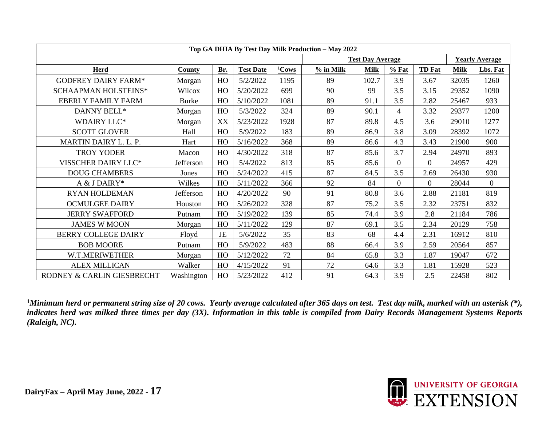|                             |               |           |                  |          | Top GA DHIA By Test Day Milk Production - May 2022 |                         |                |                |             |                       |
|-----------------------------|---------------|-----------|------------------|----------|----------------------------------------------------|-------------------------|----------------|----------------|-------------|-----------------------|
|                             |               |           |                  |          |                                                    | <b>Test Day Average</b> |                |                |             | <b>Yearly Average</b> |
| <b>Herd</b>                 | <b>County</b> | Br.       | <b>Test Date</b> | $1$ Cows | $%$ in Milk                                        | <b>Milk</b>             | $%$ Fat        | <b>TD</b> Fat  | <b>Milk</b> | Lbs. Fat              |
| <b>GODFREY DAIRY FARM*</b>  | Morgan        | HO        | 5/2/2022         | 1195     | 89                                                 | 102.7                   | 3.9            | 3.67           | 32035       | 1260                  |
| <b>SCHAAPMAN HOLSTEINS*</b> | Wilcox        | HO        | 5/20/2022        | 699      | 90                                                 | 99                      | 3.5            | 3.15           | 29352       | 1090                  |
| <b>EBERLY FAMILY FARM</b>   | <b>Burke</b>  | HO        | 5/10/2022        | 1081     | 89                                                 | 91.1                    | 3.5            | 2.82           | 25467       | 933                   |
| DANNY BELL*                 | Morgan        | HO        | 5/3/2022         | 324      | 89                                                 | 90.1                    | 4              | 3.32           | 29377       | 1200                  |
| <b>WDAIRY LLC*</b>          | Morgan        | XX        | 5/23/2022        | 1928     | 87                                                 | 89.8                    | 4.5            | 3.6            | 29010       | 1277                  |
| <b>SCOTT GLOVER</b>         | Hall          | HO        | 5/9/2022         | 183      | 89                                                 | 86.9                    | 3.8            | 3.09           | 28392       | 1072                  |
| MARTIN DAIRY L. L. P.       | Hart          | HO        | 5/16/2022        | 368      | 89                                                 | 86.6                    | 4.3            | 3.43           | 21900       | 900                   |
| <b>TROY YODER</b>           | Macon         | HO        | 4/30/2022        | 318      | 87                                                 | 85.6                    | 3.7            | 2.94           | 24970       | 893                   |
| VISSCHER DAIRY LLC*         | Jefferson     | HO        | 5/4/2022         | 813      | 85                                                 | 85.6                    | $\Omega$       | $\overline{0}$ | 24957       | 429                   |
| <b>DOUG CHAMBERS</b>        | Jones         | HO        | 5/24/2022        | 415      | 87                                                 | 84.5                    | 3.5            | 2.69           | 26430       | 930                   |
| A & J DAIRY*                | Wilkes        | HO        | 5/11/2022        | 366      | 92                                                 | 84                      | $\overline{0}$ | $\overline{0}$ | 28044       | $\mathbf{0}$          |
| <b>RYAN HOLDEMAN</b>        | Jefferson     | HO        | 4/20/2022        | 90       | 91                                                 | 80.8                    | 3.6            | 2.88           | 21181       | 819                   |
| <b>OCMULGEE DAIRY</b>       | Houston       | HO        | 5/26/2022        | 328      | 87                                                 | 75.2                    | 3.5            | 2.32           | 23751       | 832                   |
| <b>JERRY SWAFFORD</b>       | Putnam        | HO        | 5/19/2022        | 139      | 85                                                 | 74.4                    | 3.9            | 2.8            | 21184       | 786                   |
| <b>JAMES W MOON</b>         | Morgan        | HO        | 5/11/2022        | 129      | 87                                                 | 69.1                    | 3.5            | 2.34           | 20129       | 758                   |
| <b>BERRY COLLEGE DAIRY</b>  | Floyd         | <b>JE</b> | 5/6/2022         | 35       | 83                                                 | 68                      | 4.4            | 2.31           | 16912       | 810                   |
| <b>BOB MOORE</b>            | Putnam        | HO        | 5/9/2022         | 483      | 88                                                 | 66.4                    | 3.9            | 2.59           | 20564       | 857                   |
| W.T.MERIWETHER              | Morgan        | HO        | 5/12/2022        | 72       | 84                                                 | 65.8                    | 3.3            | 1.87           | 19047       | 672                   |
| <b>ALEX MILLICAN</b>        | Walker        | HO        | 4/15/2022        | 91       | 72                                                 | 64.6                    | 3.3            | 1.81           | 15928       | 523                   |
| RODNEY & CARLIN GIESBRECHT  | Washington    | HO        | 5/23/2022        | 412      | 91                                                 | 64.3                    | 3.9            | 2.5            | 22458       | 802                   |

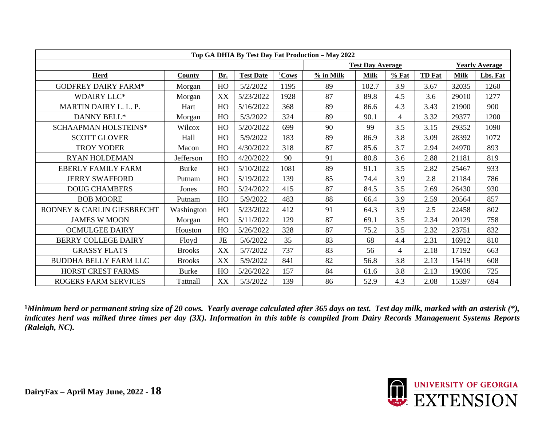|                              |               |     |                  |                   | Top GA DHIA By Test Day Fat Production - May 2022 |                         |                          |               |             |                       |
|------------------------------|---------------|-----|------------------|-------------------|---------------------------------------------------|-------------------------|--------------------------|---------------|-------------|-----------------------|
|                              |               |     |                  |                   |                                                   | <b>Test Day Average</b> |                          |               |             | <b>Yearly Average</b> |
| <b>Herd</b>                  | County        | Br. | <b>Test Date</b> | <sup>1</sup> Cows | $%$ in Milk                                       | <b>Milk</b>             | $%$ Fat                  | <b>TD</b> Fat | <b>Milk</b> | Lbs. Fat              |
| <b>GODFREY DAIRY FARM*</b>   | Morgan        | HO  | 5/2/2022         | 1195              | 89                                                | 102.7                   | 3.9                      | 3.67          | 32035       | 1260                  |
| <b>WDAIRY LLC*</b>           | Morgan        | XX  | 5/23/2022        | 1928              | 87                                                | 89.8                    | 4.5                      | 3.6           | 29010       | 1277                  |
| MARTIN DAIRY L. L. P.        | Hart          | HO  | 5/16/2022        | 368               | 89                                                | 86.6                    | 4.3                      | 3.43          | 21900       | 900                   |
| DANNY BELL*                  | Morgan        | HO  | 5/3/2022         | 324               | 89                                                | 90.1                    | $\overline{\mathcal{A}}$ | 3.32          | 29377       | 1200                  |
| <b>SCHAAPMAN HOLSTEINS*</b>  | Wilcox        | HO  | 5/20/2022        | 699               | 90                                                | 99                      | 3.5                      | 3.15          | 29352       | 1090                  |
| <b>SCOTT GLOVER</b>          | Hall          | HO  | 5/9/2022         | 183               | 89                                                | 86.9                    | 3.8                      | 3.09          | 28392       | 1072                  |
| <b>TROY YODER</b>            | Macon         | HO  | 4/30/2022        | 318               | 87                                                | 85.6                    | 3.7                      | 2.94          | 24970       | 893                   |
| <b>RYAN HOLDEMAN</b>         | Jefferson     | HO  | 4/20/2022        | 90                | 91                                                | 80.8                    | 3.6                      | 2.88          | 21181       | 819                   |
| <b>EBERLY FAMILY FARM</b>    | <b>Burke</b>  | HO  | 5/10/2022        | 1081              | 89                                                | 91.1                    | 3.5                      | 2.82          | 25467       | 933                   |
| <b>JERRY SWAFFORD</b>        | Putnam        | HO  | 5/19/2022        | 139               | 85                                                | 74.4                    | 3.9                      | 2.8           | 21184       | 786                   |
| <b>DOUG CHAMBERS</b>         | Jones         | HO  | 5/24/2022        | 415               | 87                                                | 84.5                    | 3.5                      | 2.69          | 26430       | 930                   |
| <b>BOB MOORE</b>             | Putnam        | HO  | 5/9/2022         | 483               | 88                                                | 66.4                    | 3.9                      | 2.59          | 20564       | 857                   |
| RODNEY & CARLIN GIESBRECHT   | Washington    | HO  | 5/23/2022        | 412               | 91                                                | 64.3                    | 3.9                      | 2.5           | 22458       | 802                   |
| <b>JAMES W MOON</b>          | Morgan        | HO  | 5/11/2022        | 129               | 87                                                | 69.1                    | 3.5                      | 2.34          | 20129       | 758                   |
| <b>OCMULGEE DAIRY</b>        | Houston       | HO  | 5/26/2022        | 328               | 87                                                | 75.2                    | 3.5                      | 2.32          | 23751       | 832                   |
| <b>BERRY COLLEGE DAIRY</b>   | Floyd         | JE  | 5/6/2022         | 35                | 83                                                | 68                      | 4.4                      | 2.31          | 16912       | 810                   |
| <b>GRASSY FLATS</b>          | <b>Brooks</b> | XX  | 5/7/2022         | 737               | 83                                                | 56                      | $\overline{\mathcal{A}}$ | 2.18          | 17192       | 663                   |
| <b>BUDDHA BELLY FARM LLC</b> | <b>Brooks</b> | XX  | 5/9/2022         | 841               | 82                                                | 56.8                    | 3.8                      | 2.13          | 15419       | 608                   |
| <b>HORST CREST FARMS</b>     | <b>Burke</b>  | HO  | 5/26/2022        | 157               | 84                                                | 61.6                    | 3.8                      | 2.13          | 19036       | 725                   |
| <b>ROGERS FARM SERVICES</b>  | Tattnall      | XX  | 5/3/2022         | 139               | 86                                                | 52.9                    | 4.3                      | 2.08          | 15397       | 694                   |

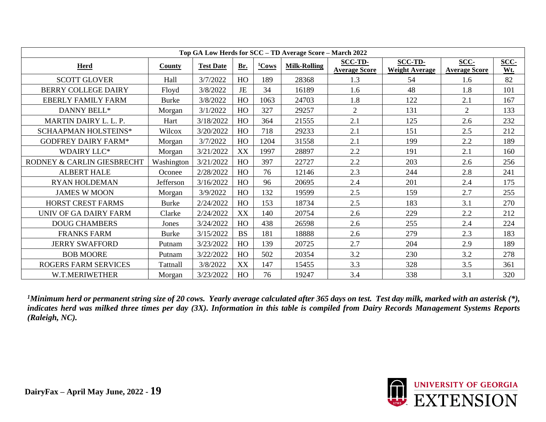|                             |              |                  |           |          | Top GA Low Herds for SCC - TD Average Score - March 2022 |                                        |                                         |                              |             |
|-----------------------------|--------------|------------------|-----------|----------|----------------------------------------------------------|----------------------------------------|-----------------------------------------|------------------------------|-------------|
| <b>Herd</b>                 | County       | <b>Test Date</b> | Br.       | $1$ Cows | <b>Milk-Rolling</b>                                      | <b>SCC-TD-</b><br><b>Average Score</b> | <b>SCC-TD-</b><br><b>Weight Average</b> | SCC-<br><b>Average Score</b> | SCC-<br>Wt. |
| <b>SCOTT GLOVER</b>         | Hall         | 3/7/2022         | HO        | 189      | 28368                                                    | 1.3                                    | 54                                      | 1.6                          | 82          |
| <b>BERRY COLLEGE DAIRY</b>  | Floyd        | 3/8/2022         | <b>JE</b> | 34       | 16189                                                    | 1.6                                    | 48                                      | 1.8                          | 101         |
| <b>EBERLY FAMILY FARM</b>   | <b>Burke</b> | 3/8/2022         | HO        | 1063     | 24703                                                    | 1.8                                    | 122                                     | 2.1                          | 167         |
| DANNY BELL*                 | Morgan       | 3/1/2022         | HO        | 327      | 29257                                                    | $\overline{2}$                         | 131                                     | 2                            | 133         |
| MARTIN DAIRY L. L. P.       | Hart         | 3/18/2022        | HO        | 364      | 21555                                                    | 2.1                                    | 125                                     | 2.6                          | 232         |
| SCHAAPMAN HOLSTEINS*        | Wilcox       | 3/20/2022        | HO        | 718      | 29233                                                    | 2.1                                    | 151                                     | 2.5                          | 212         |
| <b>GODFREY DAIRY FARM*</b>  | Morgan       | 3/7/2022         | HO        | 1204     | 31558                                                    | 2.1                                    | 199                                     | 2.2                          | 189         |
| <b>WDAIRY LLC*</b>          | Morgan       | 3/21/2022        | XX        | 1997     | 28897                                                    | 2.2                                    | 191                                     | 2.1                          | 160         |
| RODNEY & CARLIN GIESBRECHT  | Washington   | 3/21/2022        | HO        | 397      | 22727                                                    | 2.2                                    | 203                                     | 2.6                          | 256         |
| <b>ALBERT HALE</b>          | Oconee       | 2/28/2022        | HO        | 76       | 12146                                                    | 2.3                                    | 244                                     | 2.8                          | 241         |
| <b>RYAN HOLDEMAN</b>        | Jefferson    | 3/16/2022        | HO        | 96       | 20695                                                    | 2.4                                    | 201                                     | 2.4                          | 175         |
| <b>JAMES W MOON</b>         | Morgan       | 3/9/2022         | HO        | 132      | 19599                                                    | 2.5                                    | 159                                     | 2.7                          | 255         |
| <b>HORST CREST FARMS</b>    | <b>Burke</b> | 2/24/2022        | HO        | 153      | 18734                                                    | 2.5                                    | 183                                     | 3.1                          | 270         |
| UNIV OF GA DAIRY FARM       | Clarke       | 2/24/2022        | XX        | 140      | 20754                                                    | 2.6                                    | 229                                     | 2.2                          | 212         |
| <b>DOUG CHAMBERS</b>        | Jones        | 3/24/2022        | HO        | 438      | 26598                                                    | 2.6                                    | 255                                     | 2.4                          | 224         |
| <b>FRANKS FARM</b>          | <b>Burke</b> | 3/15/2022        | <b>BS</b> | 181      | 18888                                                    | 2.6                                    | 279                                     | 2.3                          | 183         |
| <b>JERRY SWAFFORD</b>       | Putnam       | 3/23/2022        | HO        | 139      | 20725                                                    | 2.7                                    | 204                                     | 2.9                          | 189         |
| <b>BOB MOORE</b>            | Putnam       | 3/22/2022        | HO        | 502      | 20354                                                    | 3.2                                    | 230                                     | 3.2                          | 278         |
| <b>ROGERS FARM SERVICES</b> | Tattnall     | 3/8/2022         | XX        | 147      | 15455                                                    | 3.3                                    | 328                                     | 3.5                          | 361         |
| W.T.MERIWETHER              | Morgan       | 3/23/2022        | HO        | 76       | 19247                                                    | 3.4                                    | 338                                     | 3.1                          | 320         |

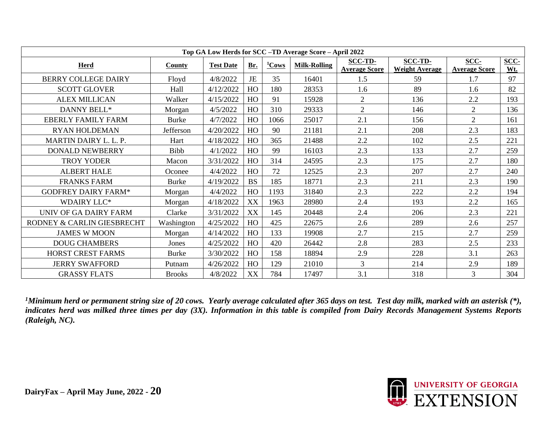| Top GA Low Herds for SCC -TD Average Score - April 2022 |               |                  |           |          |                     |                                        |                                         |                              |             |  |  |
|---------------------------------------------------------|---------------|------------------|-----------|----------|---------------------|----------------------------------------|-----------------------------------------|------------------------------|-------------|--|--|
| <b>Herd</b>                                             | <b>County</b> | <b>Test Date</b> | Br.       | $1$ Cows | <b>Milk-Rolling</b> | <b>SCC-TD-</b><br><b>Average Score</b> | <b>SCC-TD-</b><br><b>Weight Average</b> | SCC-<br><b>Average Score</b> | SCC-<br>Wt. |  |  |
| <b>BERRY COLLEGE DAIRY</b>                              | Floyd         | 4/8/2022         | <b>JE</b> | 35       | 16401               | 1.5                                    | 59                                      | 1.7                          | 97          |  |  |
| <b>SCOTT GLOVER</b>                                     | Hall          | 4/12/2022        | HO        | 180      | 28353               | 1.6                                    | 89                                      | 1.6                          | 82          |  |  |
| <b>ALEX MILLICAN</b>                                    | Walker        | 4/15/2022        | HO        | 91       | 15928               | $\overline{2}$                         | 136                                     | 2.2                          | 193         |  |  |
| DANNY BELL*                                             | Morgan        | 4/5/2022         | HO        | 310      | 29333               | $\overline{2}$                         | 146                                     | $\overline{2}$               | 136         |  |  |
| <b>EBERLY FAMILY FARM</b>                               | <b>Burke</b>  | 4/7/2022         | HO        | 1066     | 25017               | 2.1                                    | 156                                     | $\overline{2}$               | 161         |  |  |
| <b>RYAN HOLDEMAN</b>                                    | Jefferson     | 4/20/2022        | HO        | 90       | 21181               | 2.1                                    | 208                                     | 2.3                          | 183         |  |  |
| MARTIN DAIRY L. L. P.                                   | Hart          | 4/18/2022        | HO        | 365      | 21488               | 2.2                                    | 102                                     | 2.5                          | 221         |  |  |
| <b>DONALD NEWBERRY</b>                                  | Bibb          | 4/1/2022         | HO        | 99       | 16103               | 2.3                                    | 133                                     | 2.7                          | 259         |  |  |
| <b>TROY YODER</b>                                       | Macon         | 3/31/2022        | HO        | 314      | 24595               | 2.3                                    | 175                                     | 2.7                          | 180         |  |  |
| <b>ALBERT HALE</b>                                      | Oconee        | 4/4/2022         | HO        | 72       | 12525               | 2.3                                    | 207                                     | 2.7                          | 240         |  |  |
| <b>FRANKS FARM</b>                                      | <b>Burke</b>  | 4/19/2022        | <b>BS</b> | 185      | 18771               | 2.3                                    | 211                                     | 2.3                          | 190         |  |  |
| <b>GODFREY DAIRY FARM*</b>                              | Morgan        | 4/4/2022         | HO        | 1193     | 31840               | 2.3                                    | 222                                     | 2.2                          | 194         |  |  |
| <b>WDAIRY LLC*</b>                                      | Morgan        | 4/18/2022        | XX        | 1963     | 28980               | 2.4                                    | 193                                     | 2.2                          | 165         |  |  |
| UNIV OF GA DAIRY FARM                                   | Clarke        | 3/31/2022        | XX        | 145      | 20448               | 2.4                                    | 206                                     | 2.3                          | 221         |  |  |
| RODNEY & CARLIN GIESBRECHT                              | Washington    | 4/25/2022        | HO        | 425      | 22675               | 2.6                                    | 289                                     | 2.6                          | 257         |  |  |
| <b>JAMES W MOON</b>                                     | Morgan        | 4/14/2022        | HO        | 133      | 19908               | 2.7                                    | 215                                     | 2.7                          | 259         |  |  |
| <b>DOUG CHAMBERS</b>                                    | Jones         | 4/25/2022        | HO        | 420      | 26442               | 2.8                                    | 283                                     | 2.5                          | 233         |  |  |
| <b>HORST CREST FARMS</b>                                | <b>Burke</b>  | 3/30/2022        | HO        | 158      | 18894               | 2.9                                    | 228                                     | 3.1                          | 263         |  |  |
| <b>JERRY SWAFFORD</b>                                   | Putnam        | 4/26/2022        | HO        | 129      | 21010               | $\overline{3}$                         | 214                                     | 2.9                          | 189         |  |  |
| <b>GRASSY FLATS</b>                                     | <b>Brooks</b> | 4/8/2022         | XX        | 784      | 17497               | 3.1                                    | 318                                     | 3                            | 304         |  |  |